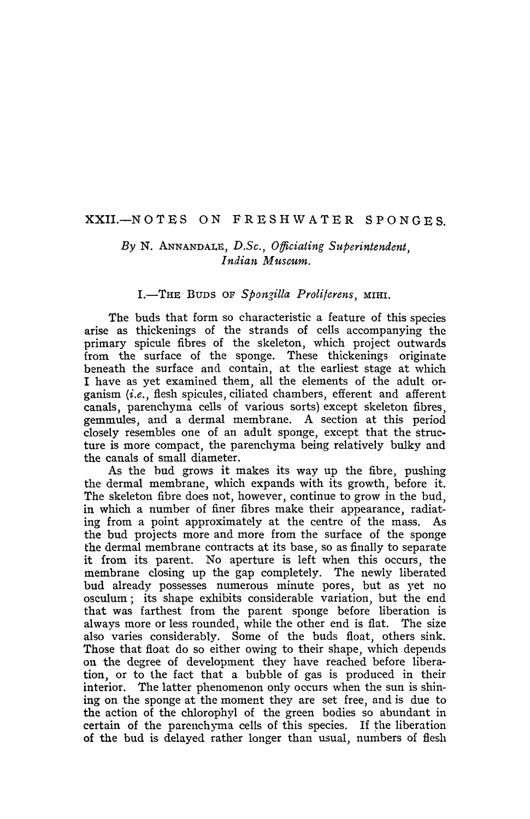# XXII.-NOTES ON FRESHWATER SPONGES

# *By* N. ANNANDALE, *D.Sc., Officiating Superintendent, Indian Museum.*

## I.-THE BUDS OF Spongilla Proliferens, MIHI.

The buds that form so characteristic a feature of this species arise as thickenings of the strands of cells accompanying the primary spicule fibres of the skeleton, which project outwards from the surface of the sponge. These thickenings originate beneath the surface and contain, at the earliest stage at which I have as yet examined them, all the elements of the adult organism *(i.e.,* flesh spicules, ciliated chambers, efferent and afferent canals, parenchyma cells of various sorts) except skeleton fibres, gemmules, and a dermal membrane. A section at this period closely resembles one of an adult sponge, except that the structure is more compact, the parenchyma being relatively bulky and the canals of sma11 diameter.

As the bud grows it makes its way up the fibre, pushing the dermal membrane, which expands with its growth, before it. The skeleton fibre does not, however, continue to grow in the bud, in which a number of finer fibres make their appearance, radiating from a point approximately at the centre of the mass. As the bud projects more and more from the surface of the sponge the dermal membrane contracts at its base, so as finally to separate it from its parent. No aperture is left when this occurs, the membrane closing up the gap completely. The newly liberated bud already possesses numerous minute pores, but as yet no osculum; its shape exhibits considerable variation, but the end that was farthest from the parent sponge before liberation is always more or less rounded, while the other end is flat. The size also varies considerably. Some of the buds float, others sink. Those that float do so either owing to their shape, which depends on the degree of development they have reached before liberation, or to the fact that a bubble of gas is produced in their interior. The latter phenomenon only occurs when the sun is shining on the sponge at the moment they are set free, and is due to the action of the chlorophyl of the green bodies so abundant in certain of the parenchyma cells of this species. If the liberation of the bud is delayed rather longer than usual, numbers of flesh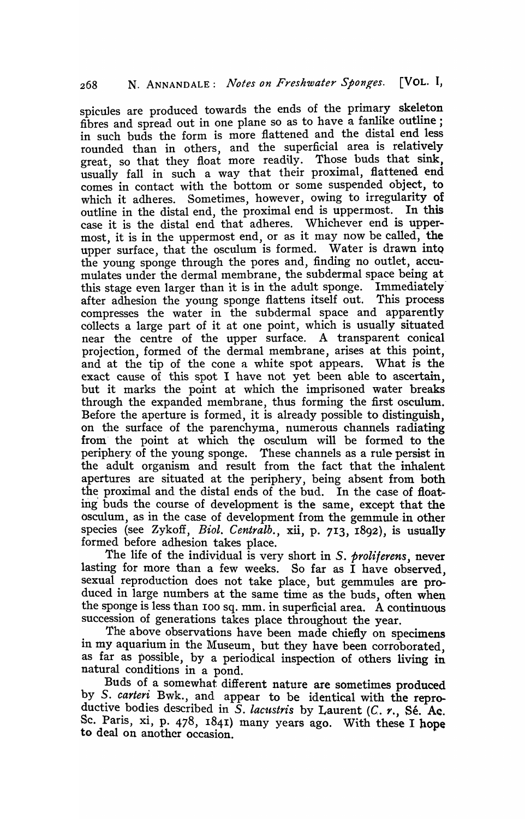spicules are produced towards the ends of the primary skeleton fibres and spread out in one plane so as to have a fanlike outline; in such buds the form is more flattened and the distal end less rounded than in others, and the superficial area is relatively great, so that they float more readily. Those buds that sink, usually fall in such a way that their proximal, flattened end comes in contact with the bottom or some suspended object, to which it adheres. Sometimes, however, owing to irregularity of outline in the distal end, the proximal end is uppermost. In this case it is the distal end that adheres. Whichever end is uppermost, it is in the uppermost end, or as it may now be called, the upper surface, that the osculum is formed. Water is drawn into the young sponge through the pores and, finding no outlet, accumulates under the dermal membrane, the subdermal space being at this stage even larger than it is in the adult sponge. Immediately· after adhesion the young sponge flattens itself out. This process compresses the water in the subdermal space and apparently collects a large part of it at one point, which is usually situated near the centre of the upper surface. A transparent conical projection, formed of the dermal membrane, arises at this point, and at the tip of the cone a white spot appears. What is the exact cause of this spot I have not yet been able to ascertain, but it marks the point at which the imprisoned water breaks through the expanded membrane, thus forming the first osculum. Before the aperture is formed, it is already possible to distinguish, on the surface of the parenchyma, numerous channels radiating from- the point at which the osculum will be formed to the periphery of the young sponge. These channels as a rule persist in the adult organism and result from the fact that the inhalent apertures are situated at the periphery, being absent from both the proximal and the distal ends of the bud. In the case of floating' buds the course of development is the same, except that the osculum, as in the case of development from the gemmule in other species (see Zykoff, *Biol. Centralb.,* xii, p. 7I3, I892), is usually formed before adhesion takes place.

The life of the individual is very short in *S. proliterens,* never lasting for more than a few weeks. So far as I have observed, sexual reproduction does not take place, but gemmules are produced in large numbers at the same time as the buds, often when the sponge is less than 100 sq. mm. in superficial area. A continuous succession of generations takes place throughout the year.

The above observations have been made chiefly on specimens in my aquarium in the Museum, but they have been corroborated as far as possible, by a periodical inspection of others living in natural conditions in a pond.

Buds of a somewhat different nature are sometimes produced by S. carteri Bwk., and appear to be identical with the reproductive bodies described in S. lacustris by Laurent *(C. r.*, Sé. Ac. Sc. Paris, xi, p. 478, 1841) many years ago. With these I hope to deal on another occasion.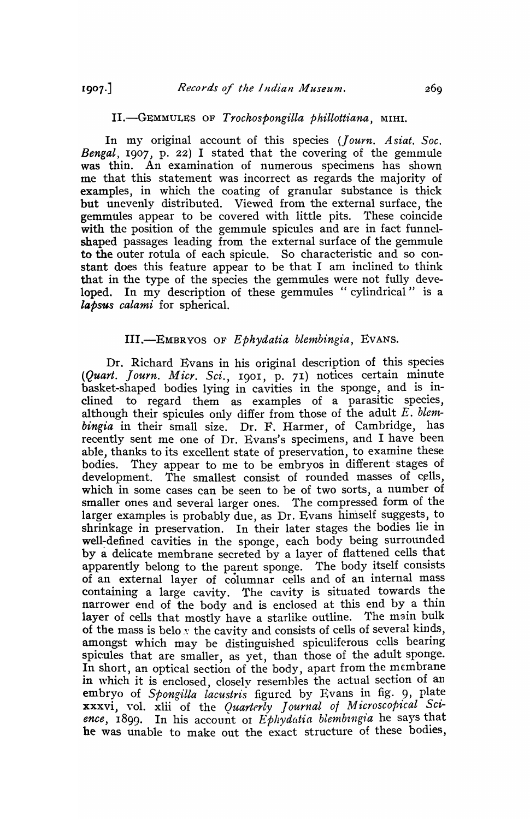#### II.-GEMMULES OF *Trochospongilla Phillottiana,* MIHI.

In my original account of this species (*Journ. Asiat. Soc. Bengal*, 1907, p. 22) I stated that the covering of the gemmule was thin. An examination of numerous specimens has shown me that this statement was incorrect as regards the majority of examples, in which the coating of granular substance is thick but unevenly distributed. Viewed from the external surface, the gemmules appear to be covered with little pits. These coincide with the position of the gemmule spicules and are in fact funnelshaped passages leading from the external surface of the gemmule to the outer rotula of each spicule. So characteristic and so constant does this feature appear to be that I am inclined to think that in the type of the species the gemmules were not fully developed. In my description of these gemmules "cylindrical" is a *lapsus calami* for spherical.

#### III .. -EMBRYOS OF *Ephydatia blembingia,* EVANS.

Dr. Richard Evans in his original description of this species (*Quart. Journ. Micr. Sci.*, 1901, p. 71) notices certain minute basket-shaped bodies lying in cavities in the sponge, and is inclined to regard them as examples of a parasitic species, although their spicules only differ from those of the adult *E. blenzbingia* in their small size. Dr. F. Harmer, of Cambridge, has recently sent me one of Dr. Evans's specimens, and I have been able, thanks to its excellent state of preservation, to examine these bodies. They appear to me to be embryos in different stages of development. The smallest consist of rounded masses of cells, which in some cases can be seen to be of two sorts, a number of smaller ones and several larger ones. The compressed form of the larger examples is probably due, as Dr. Evans himself suggests, to shrinkage in preservation. In their later stages the bodies lie in well~defined cavities in the sponge, each body being surrounded by a delicate membrane secreted by a layer of flattened cells that apparently belong to the parent sponge. The body itself consists of an external layer of columnar cells and of an internal mass containing a large cavity. The cavity is situated towards the narrower end of the body and is enclosed at this end by a thin layer of cells that mostly have a starlike outline. The main bulk of the mass is belo  $\nu$  the cavity and consists of cells of several kinds, amongst which may be distinguished spiculiferous cells bearing spicules that are smaller, as yet, than those of the adult sponge. In short, an optical section of the body, apart from the membrane in which it is enclosed, closely resembles the actual section of an embryo of Spongilla lacustris figured by Evans in fig. 9, plate xxxvi, vol. xlii of the *Quarterly Journal of Microscopical Sci*ence, 1899. In his account of *Ephydatia blembingia* he says that he was unable to make out the exact structure of these bodies,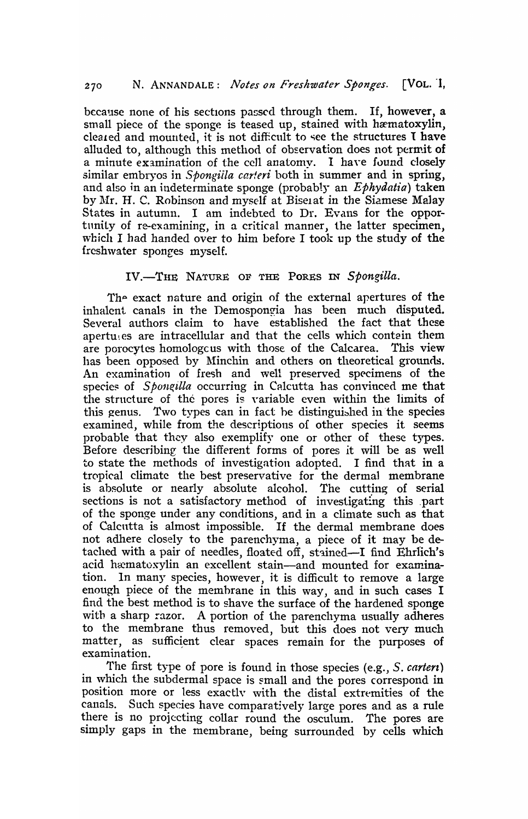because none of his sections passed through them. If, however, a small piece of the sponge is teased up, stained with hæmatoxylin, cleated and mounted, it is not difficult to see the structures I have alluded to, although this method of observation does not permit of a minute examination of the cell anatomy. I have found closely similar embryos in *Spongiila carteri* both in summer and in spring, and also in an indeterminate sponge (probably an *Ephydatia)* taken by Mr. H. C. Robinson and myself at Biselat in the Siamese Malay States in autumn. I am indebted to Dr. Evans for the opportnnity of re-examining, in a critical manner, the latter specimen, which I had handed over to him before I took up the study of the {resh\vater sponges myself.

### IV.-THE NATURE OF THE PORES IN Spongilla.

The exact nature and origin of the external apertures of the inhalent canals in the Demospongia has been much disputed. Several authors claim to have established the fact that these apertuges are intracellular and that the cells which contain them are porocytes homologcus with those of the Calcarea. This view has been opposed by Minchin and others on theoretical grounds. An examination of fresh and well preserved specimens of the species of *Spongilla* occurring in Calcutta has convinced me that the strncture of the pores is yariable even within the limits of this genus. Two types can in fact be distinguished in the species examined, while from the descriptions of other species it seems probable that they also exemplify one or other of these types. Before describing the different forms of pores it will be as well to state the methods of investigation adopted. I find that in a tropical climate the best preservative for the dermal membrane is absolute or nearly absolute alcohol. The cutting of serial sections is not a satisfactory method of investigating this part of the sponge under any conditions, and in a climate such as that of Calcntta is almost impossible. If the dermal membrane does not adhere closely to the parenchyma, a piece of it may be detached with a pair of needles, floated off, stained-I find Ehrlich's acid hæmatoxylin an excellent stain-and mounted for examination. In many species, however, it is difficult to remove a large enough piece of the membrane in this way, and in such cases I find the best method is to shave the surface of the hardened sponge with a sharp razor. A portion of the parenchyma usually adheres to the membrane thus removed, but this does not very much matter, as sufficient clear spaces remain for the purposes of examination.

The first type of pore is fonnd in those species (e.g., *S. carterz)*  in which the subdermal space is small and the pores correspond in position more or less exactly with the distal extremities of the canals. Such species have comparatively large pores and as a rule there is no projecting collar round the osculum. The pores are simply gaps in the membrane, being surrounded by cells which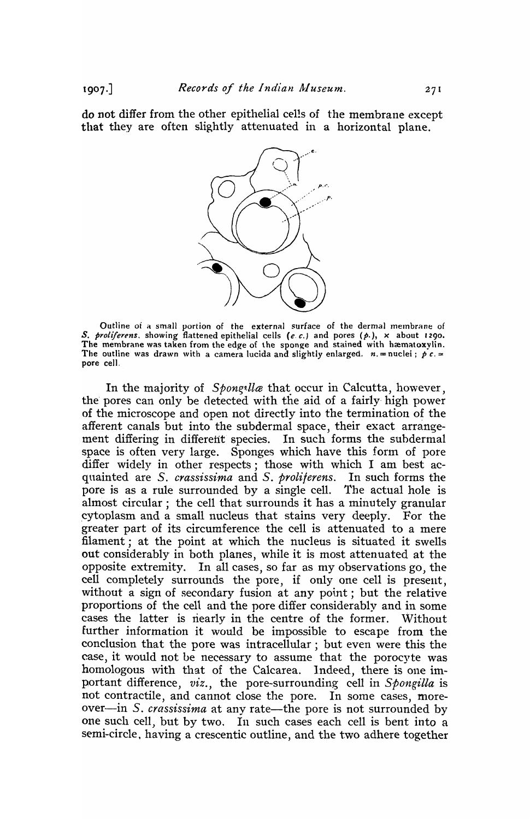do not differ from the other epithelial cells of the membrane except that they are often slightly attenuated in a horizontal plane.



Outline of a small portion of the external surface of the dermal membrane of *S. proliferens,* showing flattened epithelial cells *(e.* c.) and pores (p.), x about 1290. The membrane was taken from the edge of the sponge and stained with hæmatoxylin. The outline was drawn with a camera lucida and slightly enlarged.  $n =$  nuclei;  $\oint c \cdot d$ pore ceJI.

In the majority of *Spongilla* that occur in Calcutta, however, the pores can only be detected with the aid of a fairly high power of the microscope and open not directly into the termination of the afferent canals but into the subdermal space, their exact arrangement differing in differetit species. In such forms the subdermal space is often very large. Sponges which have this form of pore differ widely in other respects; those with which I am best acquainted are *S. crassissima* and *S. proliferens.* In such forms the pore is as a ru1e surrounded by a single cell. The actual hole is almost circular; the cell that surrounds it has a minutely granular .cytoplasm and a small nucleus that stains very deeply. For the greater part of its circumference the cell is attenuated to a mere filament; at the point at which the nucleus is situated it swells out considerably in both planes, while it is most attenuated at the opposite extremity. In all cases, so far as my observations go, the cell completely surrounds the pore, if only one cell is present, without a sign of secondary fusion at any point; but the relative proportions of the cell and the pore differ considerably and in some cases the latter is nearly in the centre of the former. Without further information it would be impossible to escape from the conclusion that the pore was intracellular; but even were this the case, it would not be necessary to assume that the porocyte was homologous with that of the Calcarea. Indeed, there is one important difference, *viz.,* the pore-surrounding cell in *Spongilla* is not contractile, and cannot close the pore. In some cases, moreover-in *S. crassissima* at any rate-the pore is not surrounded by one such cell, but by two. In such cases each cell is bent into a semi-circle. having a crescentic outline, and the two adhere together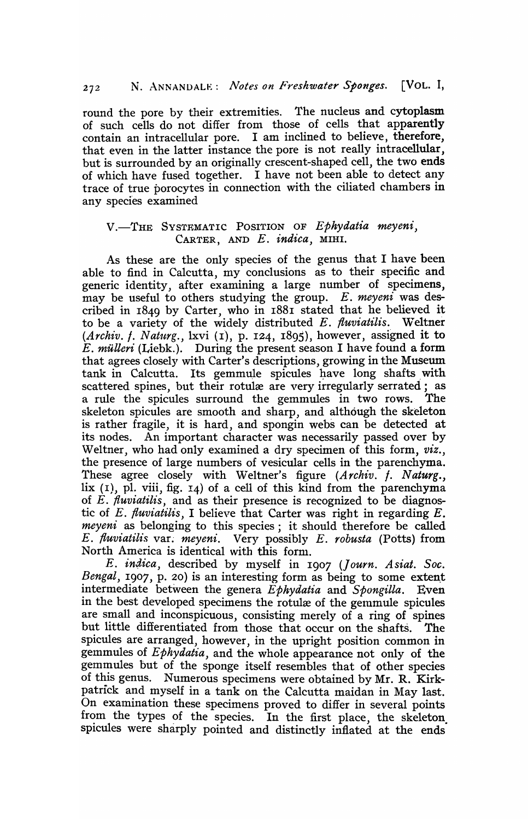round the pore by their extremities. The nucleus and cytoplasm of such cells do not differ from those of cells that apparently contain an intracellular pore. I am inclined to believe, therefore, that even in the latter instance the pore is not really intracellular. but is surrounded by an originally crescent-shaped cell, the two ends of which have fused together. I have not been able to detect any trace of true porocytes in connection with the ciliated chambers in any species examined

### V.-THE SYSTEMATIC POSITION OF *Ephydatia meyeni,*  CARTER, AND *E. indica,* MIHI.

As these are the only species of the genus that I have been able to find in Calcutta, my conclusions as to their specific and generic identity, after examining a large number of specimens, may be useful to others studying the group. E. *meyeni* was described in  $1849$  by Carter, who in  $1881$  stated that he believed it to be a variety of the widely distributed E. fluviatilis. Weltner (Archiv. f. Naturg., lxvi (1), p. 124, 1895), however, assigned it to E. *miUleri* (Liebk.). During the present season I have found a form that agrees closely with Carter's descriptions, growing in the Museum tank in Calcutta. Its gemmule spicules have long shafts with scattered spines, but their rotulæ are very irregularly serrated; as a rule the spicules surround the gemmules in two rows. The skeleton spicules are smooth and sharp, and although the skeleton is rather fragile, it is hard, and spongin webs can be detected at its nodes. An important character was necessarily passed over by Weltner, who had only examined a dry specimen of this form, *viz.,*  the presence of large numbers of vesicular cells in the parenchyma. These agree closely with Weltner's figure *(Archiv. †. Naturg.*, lix  $(I)$ , pl. viii, fig.  $I_4$ ) of a cell of this kind from the parenchyma of *E. fiuviatilis,* and as their presence is recognized to be diagnostic of *E. fluviatilis,* I believe that Carter was right in regarding *E. meyeni* as belonging to this species; it should therefore be called *E. fluviatilis* var~ *meyeni.* Very possibly *E. robusta* (Potts) from North America is identical with this form.

*E. indica*, described by myself in 1907 *(Journ. Asiat. Soc. Bengal*, 1907, p. 20) is an interesting form as being to some extent intermediate between the genera *Ephydatia* and *Spongilla.* Even in the best developed specimens the rotulæ of the gemmule spicules are small and inconspicuous, consisting merely of a ring of spines but little differentiated from those that occur on the shafts. The spicules are arranged, however, in the upright position common in gemmules of *Ephydatia,* and the whole appearance not only of the gemmules but of the sponge itself resembles that of other species of this genus. Numerous specimens were obtained by Mr. R. Kirkpatrick and myself in a tank on the Calcutta maidan in May last. On examination these specimens proved to differ in several points from the types of the species. In the first place, the skeleton. spicules were sharply pointed and distinctly inflated at the ends